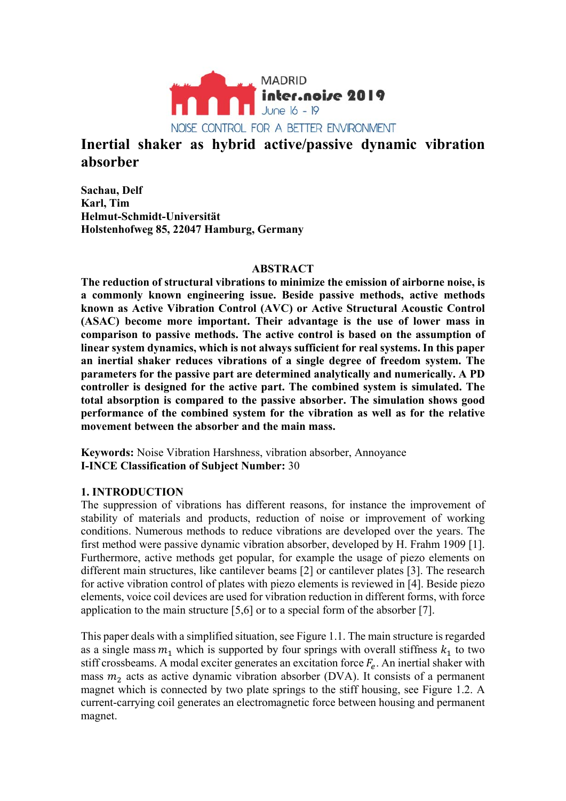

# **Inertial shaker as hybrid active/passive dynamic vibration absorber**

**Sachau, Delf Karl, Tim Helmut-Schmidt-Universität Holstenhofweg 85, 22047 Hamburg, Germany** 

## **ABSTRACT**

**The reduction of structural vibrations to minimize the emission of airborne noise, is a commonly known engineering issue. Beside passive methods, active methods known as Active Vibration Control (AVC) or Active Structural Acoustic Control (ASAC) become more important. Their advantage is the use of lower mass in comparison to passive methods. The active control is based on the assumption of linear system dynamics, which is not always sufficient for real systems. In this paper an inertial shaker reduces vibrations of a single degree of freedom system. The parameters for the passive part are determined analytically and numerically. A PD controller is designed for the active part. The combined system is simulated. The total absorption is compared to the passive absorber. The simulation shows good performance of the combined system for the vibration as well as for the relative movement between the absorber and the main mass.** 

**Keywords:** Noise Vibration Harshness, vibration absorber, Annoyance **I-INCE Classification of Subject Number:** 30

## **1. INTRODUCTION**

The suppression of vibrations has different reasons, for instance the improvement of stability of materials and products, reduction of noise or improvement of working conditions. Numerous methods to reduce vibrations are developed over the years. The first method were passive dynamic vibration absorber, developed by H. Frahm 1909 [1]. Furthermore, active methods get popular, for example the usage of piezo elements on different main structures, like cantilever beams [2] or cantilever plates [3]. The research for active vibration control of plates with piezo elements is reviewed in [4]. Beside piezo elements, voice coil devices are used for vibration reduction in different forms, with force application to the main structure [5,6] or to a special form of the absorber [7].

This paper deals with a simplified situation, see Figure 1.1. The main structure is regarded as a single mass  $m_1$  which is supported by four springs with overall stiffness  $k_1$  to two stiff crossbeams. A modal exciter generates an excitation force  $F_e$ . An inertial shaker with mass  $m<sub>2</sub>$  acts as active dynamic vibration absorber (DVA). It consists of a permanent magnet which is connected by two plate springs to the stiff housing, see Figure 1.2. A current-carrying coil generates an electromagnetic force between housing and permanent magnet.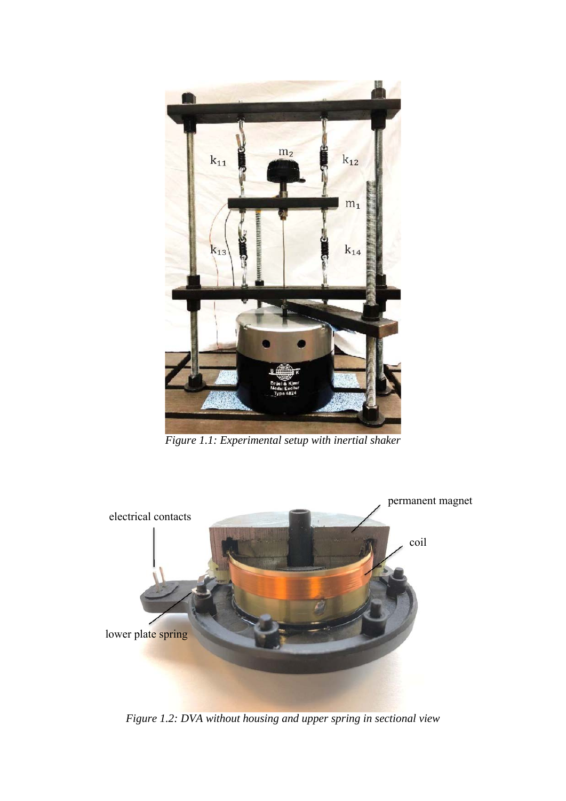

*Figure 1.1: Experimental setup with inertial shaker* 



*Figure 1.2: DVA without housing and upper spring in sectional view*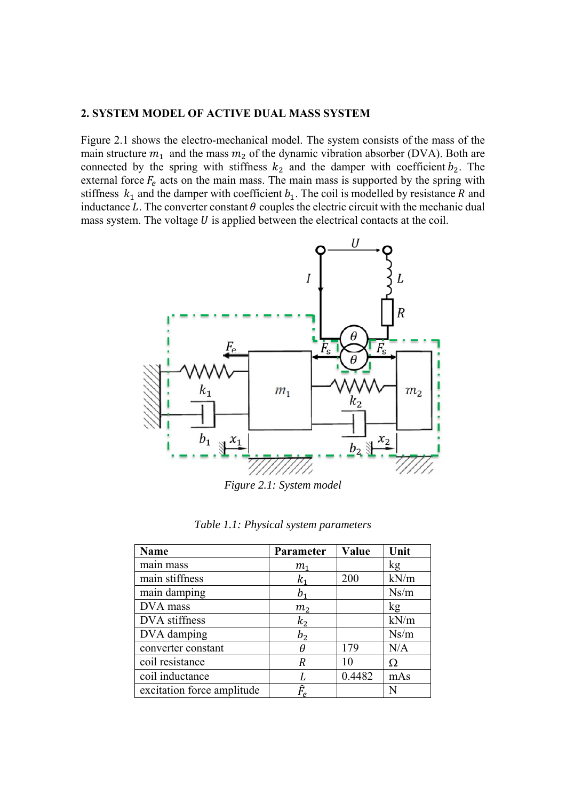#### **2. SYSTEM MODEL OF ACTIVE DUAL MASS SYSTEM**

Figure 2.1 shows the electro-mechanical model. The system consists of the mass of the main structure  $m_1$  and the mass  $m_2$  of the dynamic vibration absorber (DVA). Both are connected by the spring with stiffness  $k_2$  and the damper with coefficient  $b_2$ . The external force  $F_e$  acts on the main mass. The main mass is supported by the spring with stiffness  $k_1$  and the damper with coefficient  $b_1$ . The coil is modelled by resistance R and inductance L. The converter constant  $\theta$  couples the electric circuit with the mechanic dual mass system. The voltage  $U$  is applied between the electrical contacts at the coil.



*Figure 2.1: System model* 

|  |  | Table 1.1: Physical system parameters |
|--|--|---------------------------------------|
|  |  |                                       |

| <b>Name</b>                | Parameter                                | Value  | Unit |
|----------------------------|------------------------------------------|--------|------|
| main mass                  | $m_{\scriptscriptstyle 1}$               |        | kg   |
| main stiffness             | k,                                       | 200    | kN/m |
| main damping               | b,                                       |        | Ns/m |
| DVA mass                   | m <sub>2</sub>                           |        | kg   |
| DVA stiffness              | k <sub>2</sub>                           |        | kN/m |
| DVA damping                | $b_2$                                    |        | Ns/m |
| converter constant         | θ                                        | 179    | N/A  |
| coil resistance            | R                                        | 10     | Ω    |
| coil inductance            |                                          | 0.4482 | mAs  |
| excitation force amplitude | $\widehat{F}_{\!\scriptscriptstyle\rho}$ |        | N    |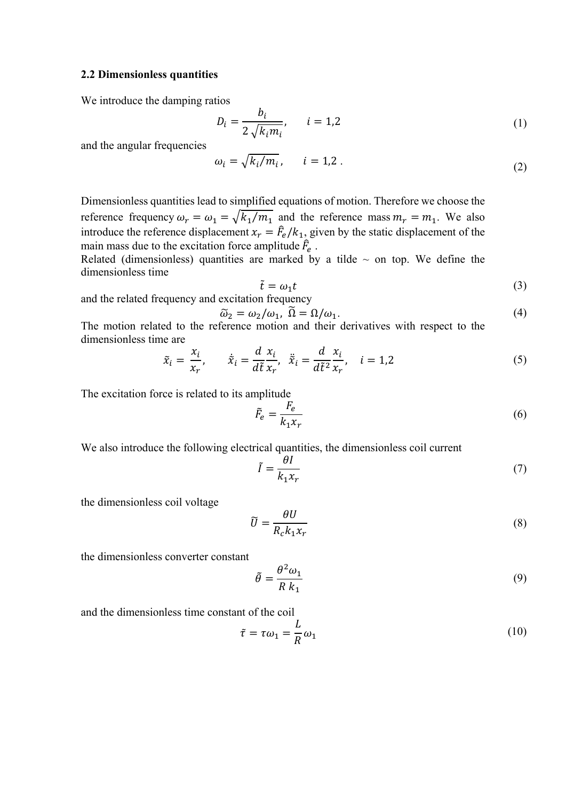#### **2.2 Dimensionless quantities**

We introduce the damping ratios

$$
D_i = \frac{b_i}{2\sqrt{k_i m_i}}, \qquad i = 1, 2
$$
 (1)

and the angular frequencies

$$
\omega_i = \sqrt{k_i/m_i}, \qquad i = 1, 2. \tag{2}
$$

Dimensionless quantities lead to simplified equations of motion. Therefore we choose the reference frequency  $\omega_r = \omega_1 = \sqrt{k_1/m_1}$  and the reference mass  $m_r = m_1$ . We also introduce the reference displacement  $x_r = \frac{\hat{F}_e}{k_1}$ , given by the static displacement of the main mass due to the excitation force amplitude  $\hat{F}_e$ .

Related (dimensionless) quantities are marked by a tilde  $\sim$  on top. We define the dimensionless time

$$
\tilde{t} = \omega_1 t \tag{3}
$$

and the related frequency and excitation frequency

$$
\widetilde{\omega}_2 = \omega_2/\omega_1, \ \widetilde{\Omega} = \Omega/\omega_1. \tag{4}
$$

The motion related to the reference motion and their derivatives with respect to the dimensionless time are

$$
\tilde{x}_i = \frac{x_i}{x_r}, \qquad \dot{\tilde{x}}_i = \frac{d}{d\tilde{t}} \frac{x_i}{x_r}, \quad \ddot{\tilde{x}}_i = \frac{d}{d\tilde{t}^2} \frac{x_i}{x_r}, \quad i = 1, 2
$$
\n<sup>(5)</sup>

The excitation force is related to its amplitude

$$
\tilde{F}_e = \frac{F_e}{k_1 x_r} \tag{6}
$$

We also introduce the following electrical quantities, the dimensionless coil current

$$
\tilde{I} = \frac{\theta I}{k_1 x_r} \tag{7}
$$

the dimensionless coil voltage

$$
\widetilde{U} = \frac{\theta U}{R_c k_1 x_r} \tag{8}
$$

the dimensionless converter constant

$$
\tilde{\theta} = \frac{\theta^2 \omega_1}{R k_1} \tag{9}
$$

and the dimensionless time constant of the coil

$$
\tilde{\tau} = \tau \omega_1 = \frac{L}{R} \omega_1 \tag{10}
$$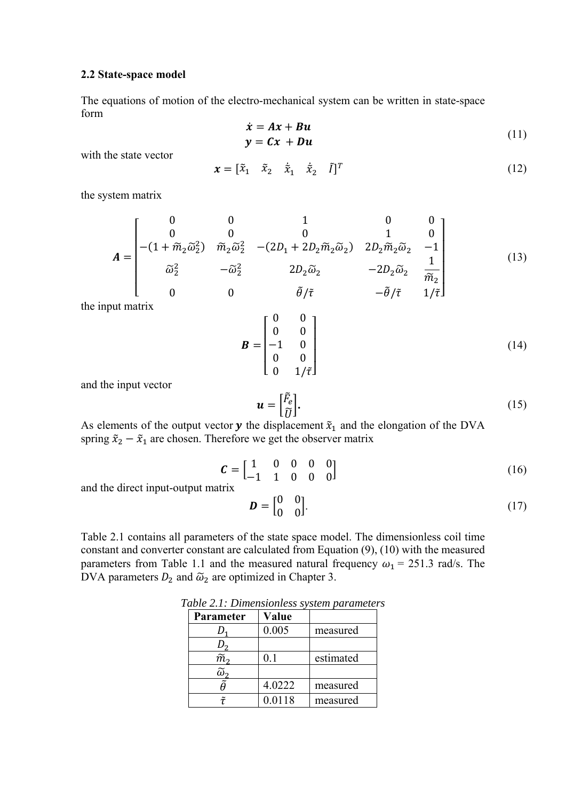#### **2.2 State-space model**

The equations of motion of the electro-mechanical system can be written in state-space form

$$
\begin{aligned}\n\dot{x} &= Ax + Bu \\
y &= Cx + Du\n\end{aligned} (11)
$$

with the state vector

$$
\mathbf{x} = \begin{bmatrix} \tilde{x}_1 & \tilde{x}_2 & \dot{\tilde{x}}_1 & \dot{\tilde{x}}_2 & \tilde{I} \end{bmatrix}^T
$$
 (12)

the system matrix

$$
A = \begin{bmatrix} 0 & 0 & 1 & 0 & 0 \\ 0 & 0 & 0 & 1 & 0 \\ -(1 + \tilde{m}_2 \tilde{\omega}_2^2) & \tilde{m}_2 \tilde{\omega}_2^2 & -(2D_1 + 2D_2 \tilde{m}_2 \tilde{\omega}_2) & 2D_2 \tilde{m}_2 \tilde{\omega}_2 & -1 \\ \tilde{\omega}_2^2 & -\tilde{\omega}_2^2 & 2D_2 \tilde{\omega}_2 & -2D_2 \tilde{\omega}_2 & \frac{1}{\tilde{m}_2} \\ 0 & 0 & \tilde{\theta}/\tilde{\tau} & -\tilde{\theta}/\tilde{\tau} & 1/\tilde{\tau} \end{bmatrix}
$$
(13)

the input matrix

$$
\mathbf{B} = \begin{bmatrix} 0 & 0 \\ 0 & 0 \\ -1 & 0 \\ 0 & 0 \\ 0 & 1/\tilde{\tau} \end{bmatrix}
$$
 (14)

and the input vector

$$
\mathbf{u} = \begin{bmatrix} \tilde{F}_e \\ \tilde{U} \end{bmatrix} . \tag{15}
$$

As elements of the output vector  $y$  the displacement  $\tilde{x}_1$  and the elongation of the DVA spring  $\tilde{x}_2 - \tilde{x}_1$  are chosen. Therefore we get the observer matrix

$$
\mathcal{C} = \begin{bmatrix} 1 & 0 & 0 & 0 & 0 \\ -1 & 1 & 0 & 0 & 0 \end{bmatrix} \tag{16}
$$

and the direct input-output matrix

$$
\mathbf{D} = \begin{bmatrix} 0 & 0 \\ 0 & 0 \end{bmatrix} . \tag{17}
$$

Table 2.1 contains all parameters of the state space model. The dimensionless coil time constant and converter constant are calculated from Equation (9), (10) with the measured parameters from Table 1.1 and the measured natural frequency  $\omega_1 = 251.3$  rad/s. The DVA parameters  $D_2$  and  $\tilde{\omega}_2$  are optimized in Chapter 3.

| Parameter         | Value  |           |
|-------------------|--------|-----------|
|                   | 0.005  | measured  |
|                   |        |           |
| $\widetilde{m}_2$ | 0.1    | estimated |
|                   |        |           |
|                   | 4.0222 | measured  |
|                   | 0.0118 | measured  |

*Table 2.1: Dimensionless system parameters*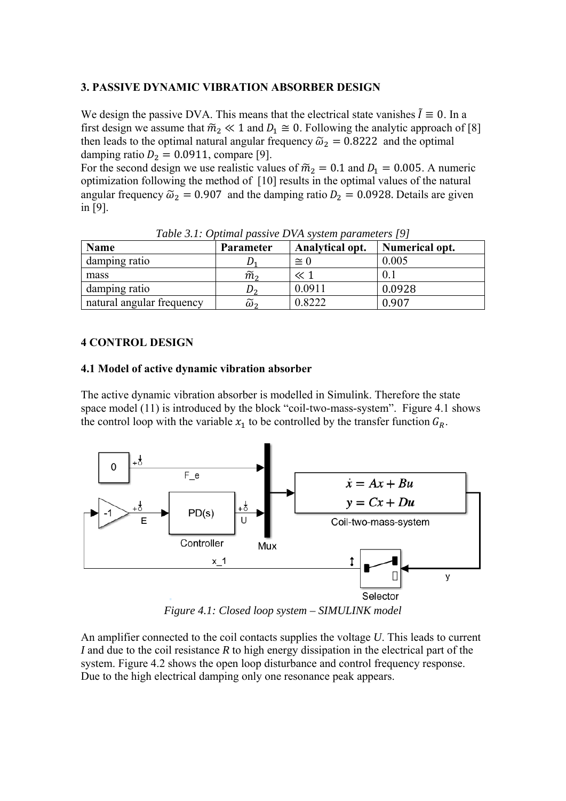## **3. PASSIVE DYNAMIC VIBRATION ABSORBER DESIGN**

We design the passive DVA. This means that the electrical state vanishes  $\tilde{I} \equiv 0$ . In a first design we assume that  $\widetilde{m}_2 \ll 1$  and  $D_1 \cong 0$ . Following the analytic approach of [8] then leads to the optimal natural angular frequency  $\tilde{\omega}_2 = 0.8222$  and the optimal damping ratio  $D_2 = 0.0911$ , compare [9].

For the second design we use realistic values of  $\tilde{m}_2 = 0.1$  and  $D_1 = 0.005$ . A numeric optimization following the method of [10] results in the optimal values of the natural angular frequency  $\tilde{\omega}_2 = 0.907$  and the damping ratio  $D_2 = 0.0928$ . Details are given in [9].

| <b>Name</b>               | Parameter         | Tubic 9.1. Optimat passive D VII system parameters 171<br>Analytical opt. | Numerical opt. |
|---------------------------|-------------------|---------------------------------------------------------------------------|----------------|
| damping ratio             |                   | $\cong$ 0                                                                 | 0.005          |
| mass                      | $\widetilde{m}_2$ |                                                                           |                |
| damping ratio             |                   | 0.0911                                                                    | 0.0928         |
| natural angular frequency | ω,                | 0.8222                                                                    | 0.907          |

*Table 3.1: Optimal passive DVA system parameters [9]* 

## **4 CONTROL DESIGN**

## **4.1 Model of active dynamic vibration absorber**

The active dynamic vibration absorber is modelled in Simulink. Therefore the state space model (11) is introduced by the block "coil-two-mass-system". Figure 4.1 shows the control loop with the variable  $x_1$  to be controlled by the transfer function  $G_R$ .



*Figure 4.1: Closed loop system – SIMULINK model* 

An amplifier connected to the coil contacts supplies the voltage *U*. This leads to current *I* and due to the coil resistance *R* to high energy dissipation in the electrical part of the system. Figure 4.2 shows the open loop disturbance and control frequency response. Due to the high electrical damping only one resonance peak appears.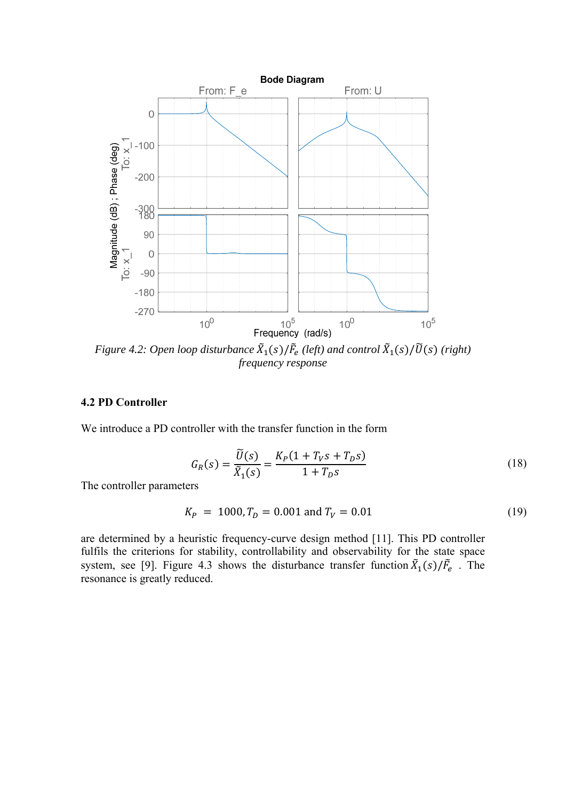

*Figure 4.2: Open loop disturbance*  $\tilde{X}_1(s)/\tilde{F}_e$  (left) and control  $\tilde{X}_1(s)/\tilde{U}(s)$  (right) *frequency response* 

## **4.2 PD Controller**

We introduce a PD controller with the transfer function in the form

$$
G_R(s) = \frac{\tilde{U}(s)}{\tilde{X}_1(s)} = \frac{K_P(1 + T_V s + T_D s)}{1 + T_D s}
$$
\n(18)

The controller parameters

$$
K_P = 1000, T_D = 0.001 \text{ and } T_V = 0.01 \tag{19}
$$

are determined by a heuristic frequency-curve design method [11]. This PD controller fulfils the criterions for stability, controllability and observability for the state space system, see [9]. Figure 4.3 shows the disturbance transfer function  $\tilde{X}_1(s)/\tilde{F}_e$ . The resonance is greatly reduced.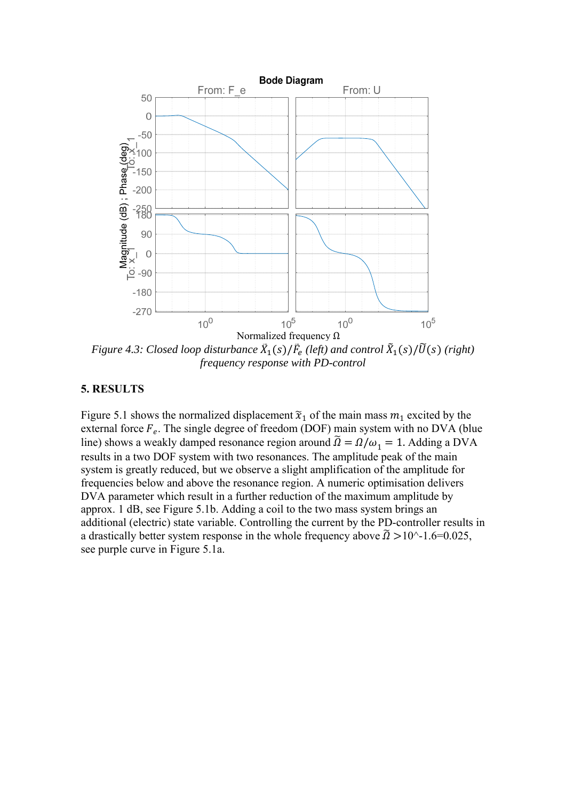

*Figure 4.3: Closed loop disturbance*  $\tilde{X}_1(s)/\tilde{F}_e$  (left) and control  $\tilde{X}_1(s)/\tilde{U}(s)$  (right) *frequency response with PD-control* 

#### **5. RESULTS**

Figure 5.1 shows the normalized displacement  $\tilde{x}_1$  of the main mass  $m_1$  excited by the external force  $F_e$ . The single degree of freedom (DOF) main system with no DVA (blue line) shows a weakly damped resonance region around  $\tilde{\Omega} = \Omega/\omega_1 = 1$ . Adding a DVA results in a two DOF system with two resonances. The amplitude peak of the main system is greatly reduced, but we observe a slight amplification of the amplitude for frequencies below and above the resonance region. A numeric optimisation delivers DVA parameter which result in a further reduction of the maximum amplitude by approx. 1 dB, see Figure 5.1b. Adding a coil to the two mass system brings an additional (electric) state variable. Controlling the current by the PD-controller results in a drastically better system response in the whole frequency above  $\tilde{\Omega} > 10^{\circ}$ -1.6=0.025, see purple curve in Figure 5.1a.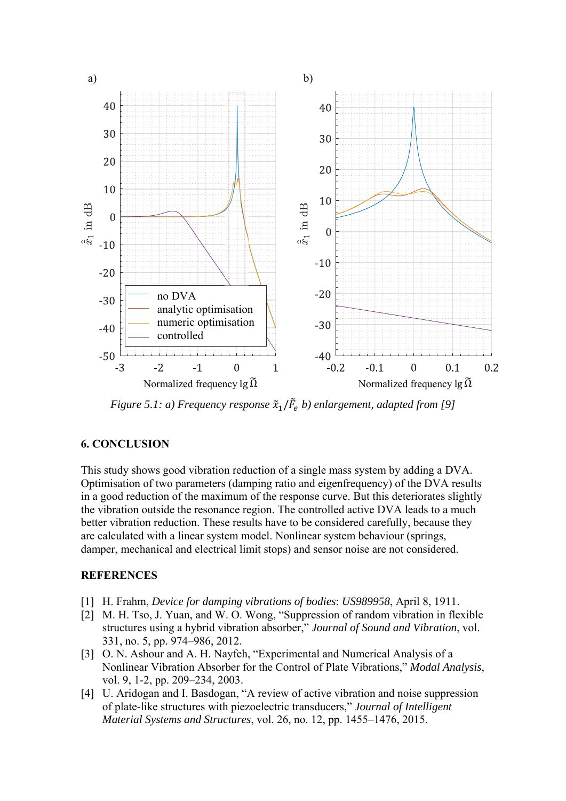

*Figure 5.1: a) Frequency response*  $\tilde{x}_1/\tilde{F}_e$  *b) enlargement, adapted from* [9]

## **6. CONCLUSION**

This study shows good vibration reduction of a single mass system by adding a DVA. Optimisation of two parameters (damping ratio and eigenfrequency) of the DVA results in a good reduction of the maximum of the response curve. But this deteriorates slightly the vibration outside the resonance region. The controlled active DVA leads to a much better vibration reduction. These results have to be considered carefully, because they are calculated with a linear system model. Nonlinear system behaviour (springs, damper, mechanical and electrical limit stops) and sensor noise are not considered.

## **REFERENCES**

- [1] H. Frahm, *Device for damping vibrations of bodies*: *US989958*, April 8, 1911.
- [2] M. H. Tso, J. Yuan, and W. O. Wong, "Suppression of random vibration in flexible structures using a hybrid vibration absorber," *Journal of Sound and Vibration*, vol. 331, no. 5, pp. 974–986, 2012.
- [3] O. N. Ashour and A. H. Nayfeh, "Experimental and Numerical Analysis of a Nonlinear Vibration Absorber for the Control of Plate Vibrations," *Modal Analysis*, vol. 9, 1-2, pp. 209–234, 2003.
- [4] U. Aridogan and I. Basdogan, "A review of active vibration and noise suppression of plate-like structures with piezoelectric transducers," *Journal of Intelligent Material Systems and Structures*, vol. 26, no. 12, pp. 1455–1476, 2015.